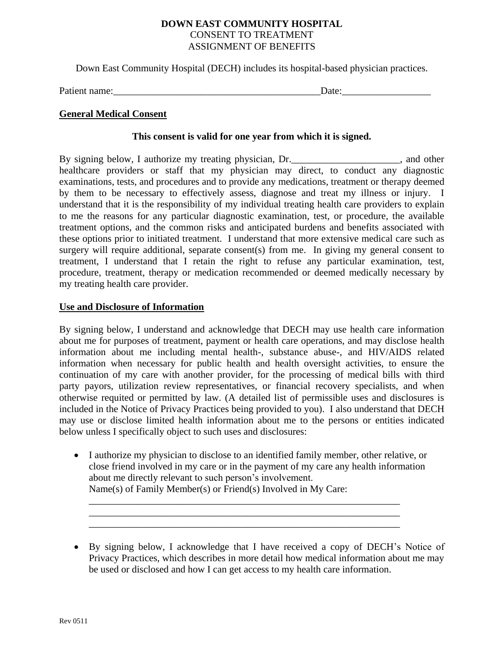## **DOWN EAST COMMUNITY HOSPITAL** CONSENT TO TREATMENT ASSIGNMENT OF BENEFITS

Down East Community Hospital (DECH) includes its hospital-based physician practices.

Patient name:<br>  $\Box$ 

# **General Medical Consent**

#### **This consent is valid for one year from which it is signed.**

By signing below, I authorize my treating physician, Dr. healthcare providers or staff that my physician may direct, to conduct any diagnostic examinations, tests, and procedures and to provide any medications, treatment or therapy deemed by them to be necessary to effectively assess, diagnose and treat my illness or injury. I understand that it is the responsibility of my individual treating health care providers to explain to me the reasons for any particular diagnostic examination, test, or procedure, the available treatment options, and the common risks and anticipated burdens and benefits associated with these options prior to initiated treatment. I understand that more extensive medical care such as surgery will require additional, separate consent(s) from me. In giving my general consent to treatment, I understand that I retain the right to refuse any particular examination, test, procedure, treatment, therapy or medication recommended or deemed medically necessary by my treating health care provider.

## **Use and Disclosure of Information**

By signing below, I understand and acknowledge that DECH may use health care information about me for purposes of treatment, payment or health care operations, and may disclose health information about me including mental health-, substance abuse-, and HIV/AIDS related information when necessary for public health and health oversight activities, to ensure the continuation of my care with another provider, for the processing of medical bills with third party payors, utilization review representatives, or financial recovery specialists, and when otherwise requited or permitted by law. (A detailed list of permissible uses and disclosures is included in the Notice of Privacy Practices being provided to you). I also understand that DECH may use or disclose limited health information about me to the persons or entities indicated below unless I specifically object to such uses and disclosures:

 I authorize my physician to disclose to an identified family member, other relative, or close friend involved in my care or in the payment of my care any health information about me directly relevant to such person's involvement. Name(s) of Family Member(s) or Friend(s) Involved in My Care:

\_\_\_\_\_\_\_\_\_\_\_\_\_\_\_\_\_\_\_\_\_\_\_\_\_\_\_\_\_\_\_\_\_\_\_\_\_\_\_\_\_\_\_\_\_\_\_\_\_\_\_\_\_\_\_\_\_\_\_\_\_\_\_  $\overline{\phantom{a}}$  ,  $\overline{\phantom{a}}$  ,  $\overline{\phantom{a}}$  ,  $\overline{\phantom{a}}$  ,  $\overline{\phantom{a}}$  ,  $\overline{\phantom{a}}$  ,  $\overline{\phantom{a}}$  ,  $\overline{\phantom{a}}$  ,  $\overline{\phantom{a}}$  ,  $\overline{\phantom{a}}$  ,  $\overline{\phantom{a}}$  ,  $\overline{\phantom{a}}$  ,  $\overline{\phantom{a}}$  ,  $\overline{\phantom{a}}$  ,  $\overline{\phantom{a}}$  ,  $\overline{\phantom{a}}$ 

\_\_\_\_\_\_\_\_\_\_\_\_\_\_\_\_\_\_\_\_\_\_\_\_\_\_\_\_\_\_\_\_\_\_\_\_\_\_\_\_\_\_\_\_\_\_\_\_\_\_\_\_\_\_\_\_\_\_\_\_\_\_\_

By signing below, I acknowledge that I have received a copy of DECH's Notice of Privacy Practices, which describes in more detail how medical information about me may be used or disclosed and how I can get access to my health care information.